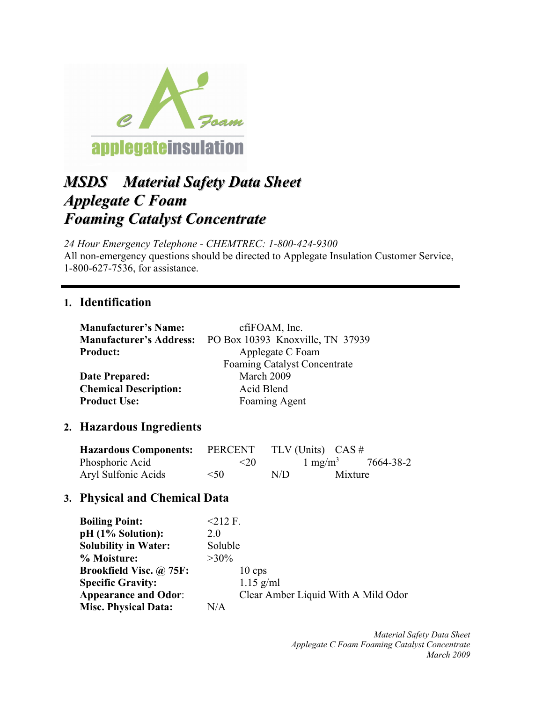

# *MSDS Material Safety Data Sheet Applegate C Foam Foaming Catalyst Concentrate Foaming Catalyst Concentrate*

*24 Hour Emergency Telephone - CHEMTREC: 1-800-424-9300* All non-emergency questions should be directed to Applegate Insulation Customer Service, 1-800-627-7536, for assistance.

#### **1. Identification**

| <b>Manufacturer's Name:</b>    | cfiFOAM, Inc.                       |
|--------------------------------|-------------------------------------|
| <b>Manufacturer's Address:</b> | PO Box 10393 Knoxville, TN 37939    |
| <b>Product:</b>                | Applegate C Foam                    |
|                                | <b>Foaming Catalyst Concentrate</b> |
| Date Prepared:                 | March 2009                          |
| <b>Chemical Description:</b>   | Acid Blend                          |
| <b>Product Use:</b>            | Foaming Agent                       |

### **2. Hazardous Ingredients**

| <b>Hazardous Components:</b> PERCENT |        |     | TLV (Units) $CAS \#$         |  |
|--------------------------------------|--------|-----|------------------------------|--|
| Phosphoric Acid                      | $20$   |     | $1 \text{ mg/m}^3$ 7664-38-2 |  |
| Aryl Sulfonic Acids                  | $<$ 50 | N/D | Mixture                      |  |

### **3. Physical and Chemical Data**

| <b>Boiling Point:</b>          | $212$ F.                            |
|--------------------------------|-------------------------------------|
| $pH (1\%$ Solution):           | 20                                  |
| <b>Solubility in Water:</b>    | Soluble                             |
| % Moisture:                    | $>30\%$                             |
| <b>Brookfield Visc.</b> @ 75F: | $10 \text{ cps}$                    |
| <b>Specific Gravity:</b>       | $1.15$ g/ml                         |
| <b>Appearance and Odor:</b>    | Clear Amber Liquid With A Mild Odor |
| <b>Misc. Physical Data:</b>    | N/A                                 |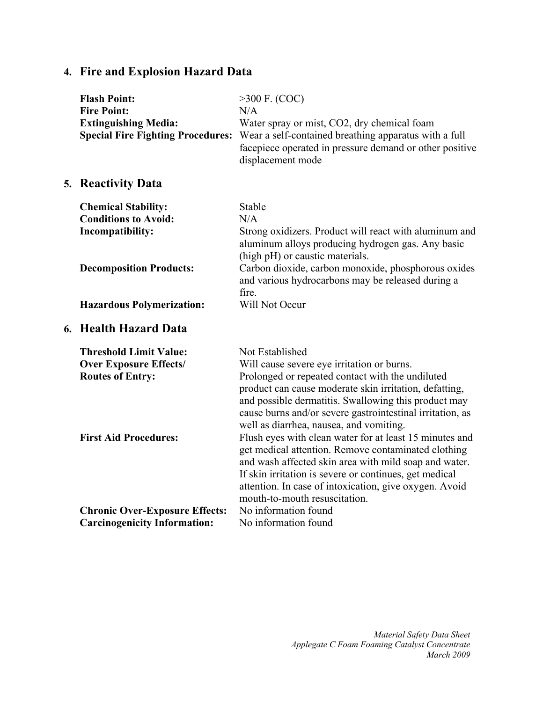# **4. Fire and Explosion Hazard Data**

| <b>Flash Point:</b><br><b>Fire Point:</b><br><b>Extinguishing Media:</b><br><b>Special Fire Fighting Procedures:</b> | $>300$ F. (COC)<br>N/A<br>Water spray or mist, CO2, dry chemical foam<br>Wear a self-contained breathing apparatus with a full<br>facepiece operated in pressure demand or other positive<br>displacement mode                                                                                                                                                                                                                                                                                                                                                                                             |
|----------------------------------------------------------------------------------------------------------------------|------------------------------------------------------------------------------------------------------------------------------------------------------------------------------------------------------------------------------------------------------------------------------------------------------------------------------------------------------------------------------------------------------------------------------------------------------------------------------------------------------------------------------------------------------------------------------------------------------------|
| 5. Reactivity Data                                                                                                   |                                                                                                                                                                                                                                                                                                                                                                                                                                                                                                                                                                                                            |
| <b>Chemical Stability:</b>                                                                                           | Stable                                                                                                                                                                                                                                                                                                                                                                                                                                                                                                                                                                                                     |
| <b>Conditions to Avoid:</b>                                                                                          | N/A                                                                                                                                                                                                                                                                                                                                                                                                                                                                                                                                                                                                        |
| Incompatibility:                                                                                                     | Strong oxidizers. Product will react with aluminum and<br>aluminum alloys producing hydrogen gas. Any basic<br>(high pH) or caustic materials.                                                                                                                                                                                                                                                                                                                                                                                                                                                             |
| <b>Decomposition Products:</b>                                                                                       | Carbon dioxide, carbon monoxide, phosphorous oxides<br>and various hydrocarbons may be released during a<br>fire.                                                                                                                                                                                                                                                                                                                                                                                                                                                                                          |
| <b>Hazardous Polymerization:</b>                                                                                     | Will Not Occur                                                                                                                                                                                                                                                                                                                                                                                                                                                                                                                                                                                             |
| 6. Health Hazard Data                                                                                                |                                                                                                                                                                                                                                                                                                                                                                                                                                                                                                                                                                                                            |
| <b>Threshold Limit Value:</b>                                                                                        | Not Established                                                                                                                                                                                                                                                                                                                                                                                                                                                                                                                                                                                            |
| <b>Over Exposure Effects/</b>                                                                                        | Will cause severe eye irritation or burns.                                                                                                                                                                                                                                                                                                                                                                                                                                                                                                                                                                 |
| <b>Routes of Entry:</b><br><b>First Aid Procedures:</b>                                                              | Prolonged or repeated contact with the undiluted<br>product can cause moderate skin irritation, defatting,<br>and possible dermatitis. Swallowing this product may<br>cause burns and/or severe gastrointestinal irritation, as<br>well as diarrhea, nausea, and vomiting.<br>Flush eyes with clean water for at least 15 minutes and<br>get medical attention. Remove contaminated clothing<br>and wash affected skin area with mild soap and water.<br>If skin irritation is severe or continues, get medical<br>attention. In case of intoxication, give oxygen. Avoid<br>mouth-to-mouth resuscitation. |
| <b>Chronic Over-Exposure Effects:</b><br><b>Carcinogenicity Information:</b>                                         | No information found<br>No information found                                                                                                                                                                                                                                                                                                                                                                                                                                                                                                                                                               |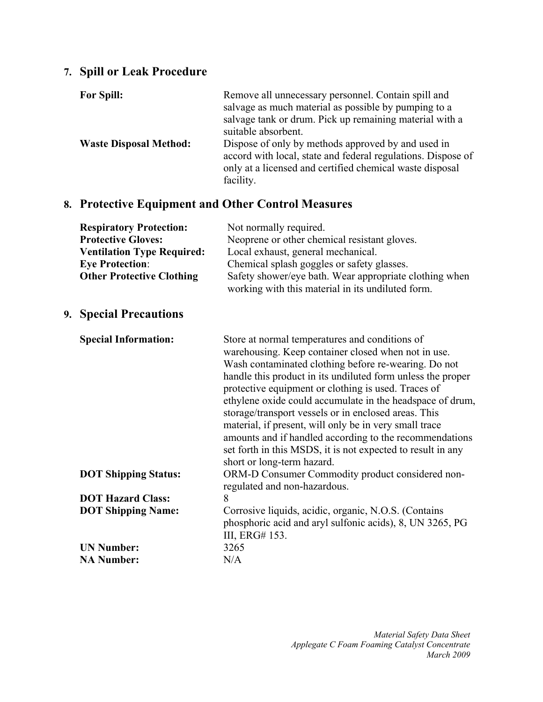# **7. Spill or Leak Procedure**

| <b>For Spill:</b>             | Remove all unnecessary personnel. Contain spill and<br>salvage as much material as possible by pumping to a<br>salvage tank or drum. Pick up remaining material with a<br>suitable absorbent. |
|-------------------------------|-----------------------------------------------------------------------------------------------------------------------------------------------------------------------------------------------|
| <b>Waste Disposal Method:</b> | Dispose of only by methods approved by and used in<br>accord with local, state and federal regulations. Dispose of<br>only at a licensed and certified chemical waste disposal<br>facility.   |

### **8. Protective Equipment and Other Control Measures**

| <b>Respiratory Protection:</b><br><b>Protective Gloves:</b><br><b>Ventilation Type Required:</b><br><b>Eye Protection:</b><br><b>Other Protective Clothing</b> | Not normally required.<br>Neoprene or other chemical resistant gloves.<br>Local exhaust, general mechanical.<br>Chemical splash goggles or safety glasses.<br>Safety shower/eye bath. Wear appropriate clothing when<br>working with this material in its undiluted form.                                                                                                                                                                                                                                                                                                                                                  |
|----------------------------------------------------------------------------------------------------------------------------------------------------------------|----------------------------------------------------------------------------------------------------------------------------------------------------------------------------------------------------------------------------------------------------------------------------------------------------------------------------------------------------------------------------------------------------------------------------------------------------------------------------------------------------------------------------------------------------------------------------------------------------------------------------|
| <b>9. Special Precautions</b>                                                                                                                                  |                                                                                                                                                                                                                                                                                                                                                                                                                                                                                                                                                                                                                            |
| <b>Special Information:</b>                                                                                                                                    | Store at normal temperatures and conditions of<br>warehousing. Keep container closed when not in use.<br>Wash contaminated clothing before re-wearing. Do not<br>handle this product in its undiluted form unless the proper<br>protective equipment or clothing is used. Traces of<br>ethylene oxide could accumulate in the headspace of drum,<br>storage/transport vessels or in enclosed areas. This<br>material, if present, will only be in very small trace<br>amounts and if handled according to the recommendations<br>set forth in this MSDS, it is not expected to result in any<br>short or long-term hazard. |
| <b>DOT Shipping Status:</b>                                                                                                                                    | ORM-D Consumer Commodity product considered non-<br>regulated and non-hazardous.                                                                                                                                                                                                                                                                                                                                                                                                                                                                                                                                           |
| <b>DOT Hazard Class:</b>                                                                                                                                       | 8                                                                                                                                                                                                                                                                                                                                                                                                                                                                                                                                                                                                                          |
| <b>DOT Shipping Name:</b>                                                                                                                                      | Corrosive liquids, acidic, organic, N.O.S. (Contains<br>phosphoric acid and aryl sulfonic acids), 8, UN 3265, PG<br>III, ERG# 153.                                                                                                                                                                                                                                                                                                                                                                                                                                                                                         |
| <b>UN Number:</b>                                                                                                                                              | 3265                                                                                                                                                                                                                                                                                                                                                                                                                                                                                                                                                                                                                       |
| <b>NA Number:</b>                                                                                                                                              | N/A                                                                                                                                                                                                                                                                                                                                                                                                                                                                                                                                                                                                                        |